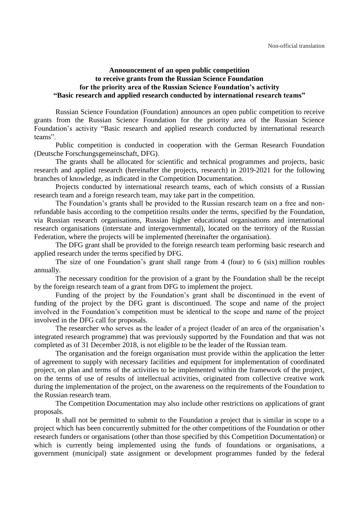## **Announcement of an open public competition to receive grants from the Russian Science Foundation for the priority area of the Russian Science Foundation's activity "Basic research and applied research conducted by international research teams"**

Russian Science Foundation (Foundation) announces an open public competition to receive grants from the Russian Science Foundation for the priority area of the Russian Science Foundation's activity "Basic research and applied research conducted by international research teams".

Public competition is conducted in cooperation with the German Research Foundation (Deutsche Forschungsgemeinschaft, DFG).

The grants shall be allocated for scientific and technical programmes and projects, basic research and applied research (hereinafter the projects, research) in 2019-2021 for the following branches of knowledge, as indicated in the Competition Documentation.

Projects conducted by international research teams, each of which consists of a Russian research team and a foreign research team, may take part in the competition.

The Foundation's grants shall be provided to the Russian research team on a free and nonrefundable basis according to the competition results under the terms, specified by the Foundation, via Russian research organisations, Russian higher educational organisations and international research organisations (interstate and intergovernmental), located on the territory of the Russian Federation, where the projects will be implemented (hereinafter the organisation).

The DFG grant shall be provided to the foreign research team performing basic research and applied research under the terms specified by DFG.

The size of one Foundation's grant shall range from 4 (four) to 6 (six) million roubles annually.

The necessary condition for the provision of a grant by the Foundation shall be the receipt by the foreign research team of a grant from DFG to implement the project.

Funding of the project by the Foundation's grant shall be discontinued in the event of funding of the project by the DFG grant is discontinued. The scope and name of the project involved in the Foundation's competition must be identical to the scope and name of the project involved in the DFG call for proposals.

The researcher who serves as the leader of a project (leader of an area of the organisation's integrated research programme) that was previously supported by the Foundation and that was not completed as of 31 December 2018, is not eligible to be the leader of the Russian team.

The organisation and the foreign organisation must provide within the application the letter of agreement to supply with necessary facilities and equipment for implementation of coordinated project, on plan and terms of the activities to be implemented within the framework of the project, on the terms of use of results of intellectual activities, originated from collective creative work during the implementation of the project, on the awareness on the requirements of the Foundation to the Russian research team.

The Competition Documentation may also include other restrictions on applications of grant proposals.

It shall not be permitted to submit to the Foundation a project that is similar in scope to a project which has been concurrently submitted for the other competitions of the Foundation or other research funders or organisations (other than those specified by this Competition Documentation) or which is currently being implemented using the funds of foundations or organisations, a government (municipal) state assignment or development programmes funded by the federal